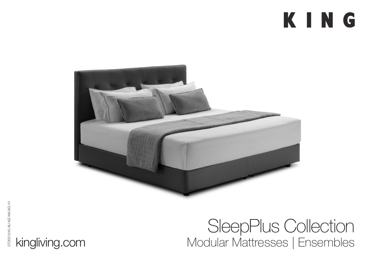# KING



## SleepPlus Collection Modular Mattresses | Ensembles

kingliving.com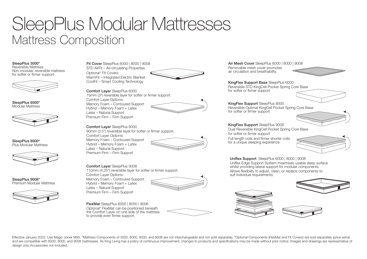## SleepPlus Modular Mattresses Mattress Composition

#### SleepPlus 3000\* Reversible Mattress Non-modular, reversible mattress for softer or firmer support



SleepPlus 6000\* Modular Mattress



SleepPlus 8000\* Plus Modular Mattress



SleepPlus 9008\* Premium Modular Mattress



Fit Cover SleepPlus 6000 | 8000 | 9008 STD AirFit – Air-circulating Properties Optional\* Fit Covers: WarmFit – Integrated Electric Blanket CoolFit – Smart Cooling Technology



Comfort Layer SleepPlus 6000 75mm (3") reversible layer for softer or firmer support. Comfort Layer Options: Memory Foam – Contoured Support Hybrid – Memory Foam + Latex Latex – Natural Support Premium Firm – Firm Support

Comfort Layer SleepPlus 8000 90mm (3.5") reversible layer for softer or firmer support. Comfort Layer Options: Memory Foam – Contoured Support Hybrid – Memory Foam + Latex Latex – Natural Support

Comfort Layer SleepPlus 9008

Premium Firm – Firm Support

110mm (4.25") reversible layer for softer or firmer support. Comfort Layer Options:

Memory Foam – Contoured Support Hybrid – Memory Foam + Latex Latex – Natural Support Premium Firm – Firm Support

FlexMat SleepPlus 6000 | 8000 | 9008 Optional\* FlexMat can be positioned beneath the Comfort Layer on one side of the mattress to provide even firmer support.





Air Mesh Cover SleepPlus 6000 | 8000 | 9008 Removable mesh cover promotes air circulation and breathability.



KingFlex Support Base SleepPlus 6000 Reversible STD KingCell Pocket Spring Core Base for softer or firmer support



KingFlex Support SleepPlus 8000 Reversible Optimal KingCell Pocket Spring Core Base

for softer or firmer support



KingFlex Support SleepPlus 9008

Dual Reversible KingCell Pocket Spring Core Base for softer or firmer support

Full length coils and firmer shorter coils for a unique sleeping experience



Uniflex Support SleepPlus 6000 | 8000 | 9008 Uniflex Edge Support System maximises usable sleep surface whilst providing lateral support for modular components. Allows flexibility to adjust, clean, or replace components to suit individual requirements.







Effective January 2022. Use Magic Joiner M95. \*Mattress Components of 3000, 6000, 8000, and 9008 are not interchangeable and not sold separately. \*Optional Components (FlexMat and Fit Covers) are sold separately (price ext and are compatible with 6000, 8000, and 9008 mattresses. As King Living has a policy of continuous improvement, changes to products and specifications may be made without prior notice. Images and drawings are representativ design only. Accessories not included.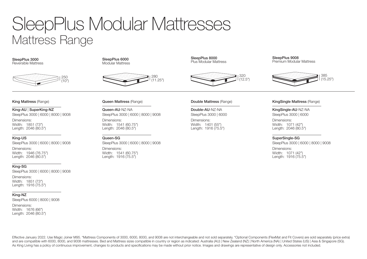## SleepPlus Modular Mattresses Mattress Range

SleepPlus 3000 Reversible Mattress



SleepPlus 6000 Modular Mattress



SleepPlus 8000 Plus Modular Mattress



SleepPlus 9008 Premium Modular Mattress



## King-AU | SuperKing-NZ

SleepPlus 3000 | 6000 | 8000 | 9008

Dimensions: Width: 1851 (73") Length: 2046 (80.5")

#### King-US

SleepPlus 3000 | 6000 | 8000 | 9008 Dimensions: Width: 1946 (76.75") Length: 2046 (80.5")

### King-SG

SleepPlus 3000 | 6000 | 8000 | 9008

Dimensions: Width: 1851 (73") Length: 1916 (75.5")

#### King-NZ

SleepPlus 6000 | 8000 | 9008

Dimensions: Width: 1676 (66") Length: 2046 (80.5")

Queen-AU-NZ-NA SleepPlus 3000 | 6000 | 8000 | 9008

Dimensions: Width: 1541 (60.75") Length: 2046 (80.5")

#### Queen-SG

SleepPlus 3000 | 6000 | 8000 | 9008 Dimensions: Width: 1541 (60.75") Length: 1916 (75.5")

### Double-AU-NZ-NA

SleepPlus 3000 | 6000

Dimensions: Width: 1401 (55") Length: 1916 (75.5")

#### King Mattress (Range) **Queen Mattress (Range) Communities (Range) Double Mattress (Range)** KingSingle Mattress (Range)

### KingSingle-AU-NZ-NA SleepPlus 3000 | 6000

Dimensions: Width: 1071 (42") Length: 2046 (80.5")

#### SuperSingle-SG

SleepPlus 3000 | 6000 | 8000 | 9008 Dimensions: Width: 1071 (42") Length: 1916 (75.5")

Effective January 2022. Use Magic Joiner M95. \*Mattress Components of 3000, 6000, 8000, and 9008 are not interchangeable and not sold separately. \*Optional Components (FlexMat and Fit Covers) are sold separately (price ext and are compatible with 6000, 8000, and 9008 mattresses. Bed and Mattress sizes compatible in country or region as indicated: Australia (AU) | New Zealand (NZ) | North America (NA) | United States (US) | Asia & Singapore ( As King Living has a policy of continuous improvement, changes to products and specifications may be made without prior notice. Images and drawings are representative of design only. Accessories not included.